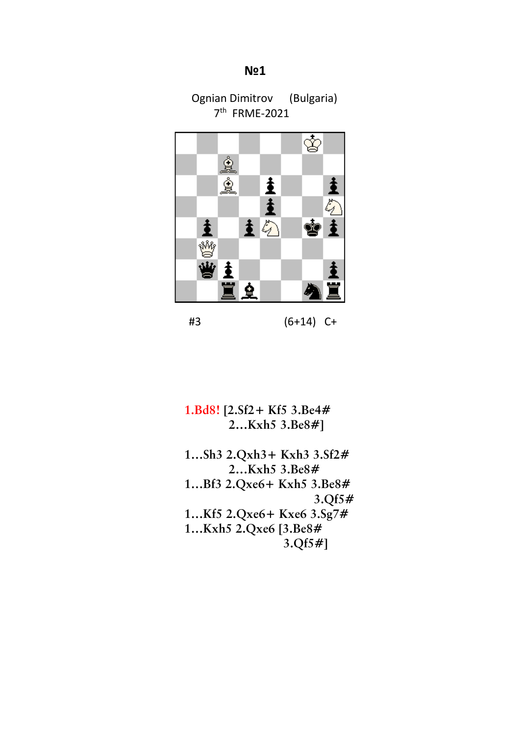## **N**≌1

Ognian Dimitrov (Bulgaria) 7th FRME-2021



#3 (6+14) C+

 **1.Bd8! [2.Sf2+ Kf5 3.Be4# 2…Kxh5 3.Be8#]**

 **1…Sh3 2.Qxh3+ Kxh3 3.Sf2# 2…Kxh5 3.Be8# 1…Bf3 2.Qxe6+ Kxh5 3.Be8# 3.Qf5# 1…Kf5 2.Qxe6+ Kxe6 3.Sg7# 1…Kxh5 2.Qxe6 [3.Be8# 3.Qf5#]**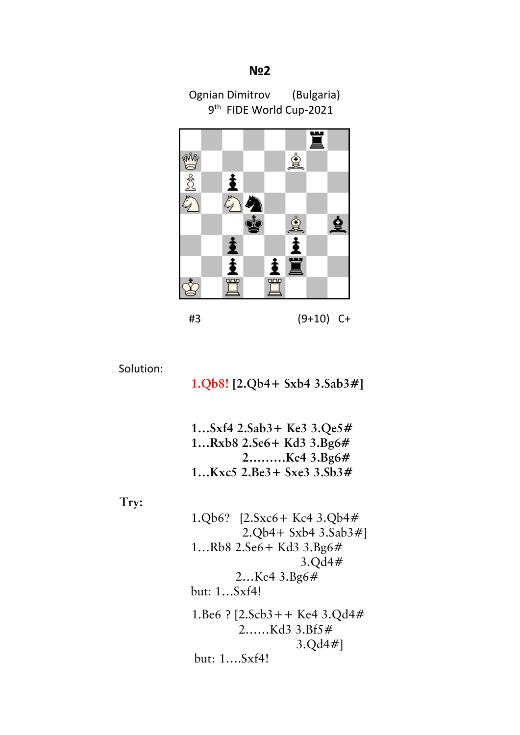## €22 € 2010 € 2010 € 2010 € 2010 € 2010 € 2010 € 2010 € 2010 € 2010 € 2010 € 2010 € 2010 € 2010 € 2010 € 2010 € 2010 € 2010 € 2010 € 2010 € 2010 € 2010 € 2010 € 2010 € 2010 € 2010 € 2010 € 2010 € 2010 € 2010 € 2010 € 2010

Ognian Dimitrov (Bulgaria) 9<sup>th</sup> FIDE World Cup-2021



Solution:

 **1.Qb8! [2.Qb4+ Sxb4 3.Sab3#]**

 **1…Sxf4 2.Sab3+ Ke3 3.Qe5# 1…Rxb8 2.Se6+ Kd3 3.Bg6# 2………Ke4 3.Bg6# 1…Kxc5 2.Be3+ Sxe3 3.Sb3#**

 **Try:**

1.Qb6? [2.Sxc6+ Kc4 3.Qb4# 2.Qb4+ Sxb4 3.Sab3#] 1…Rb8 2.Se6+ Kd3 3.Bg6# 3.Qd4# 2…Ke4 3.Bg6# but: 1…Sxf4! 1.Be6 ? [2.Scb3++ Ke4 3.Qd4# 2……Kd3 3.Bf5# 3.Qd4#] but: 1….Sxf4!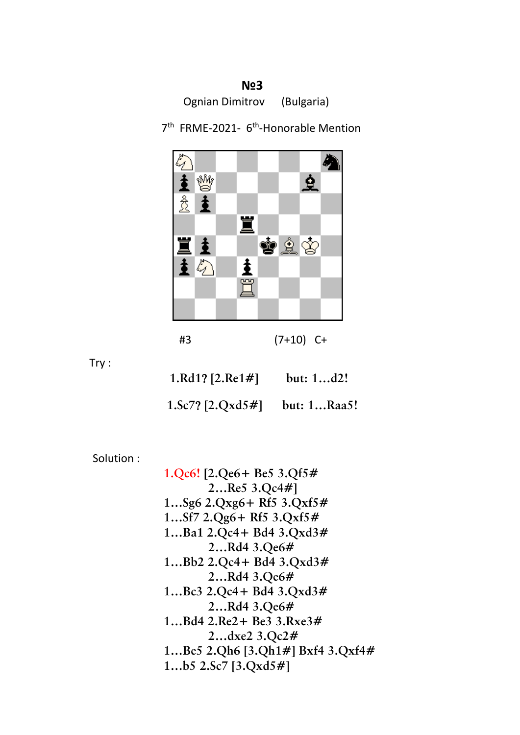**N**≌3 Ognian Dimitrov (Bulgaria)



7<sup>th</sup> FRME-2021- 6<sup>th</sup>-Honorable Mention

| #3 | $(7+10)$ C+ |
|----|-------------|
|----|-------------|

Try :

 **1.Rd1**? **[2.Re1#] but: 1…d2!**

 **1.Sc7**? **[2.Qxd5#] but: 1…Raa5!**

Solution :

 **1.Qc6! [2.Qe6+ Be5 3.Qf5# 2…Re5 3.Qc4#] 1…Sg6 2.Qxg6+ Rf5 3.Qxf5# 1…Sf7 2.Qg6+ Rf5 3.Qxf5# 1…Ba1 2.Qc4+ Bd4 3.Qxd3# 2…Rd4 3.Qe6# 1…Bb2 2.Qc4+ Bd4 3.Qxd3# 2…Rd4 3.Qe6# 1…Bc3 2.Qc4+ Bd4 3.Qxd3# 2…Rd4 3.Qe6# 1…Bd4 2.Re2+ Be3 3.Rxe3# 2…dxe2 3.Qc2# 1…Be5 2.Qh6 [3.Qh1#] Bxf4 3.Qxf4# 1…b5 2.Sc7 [3.Qxd5#]**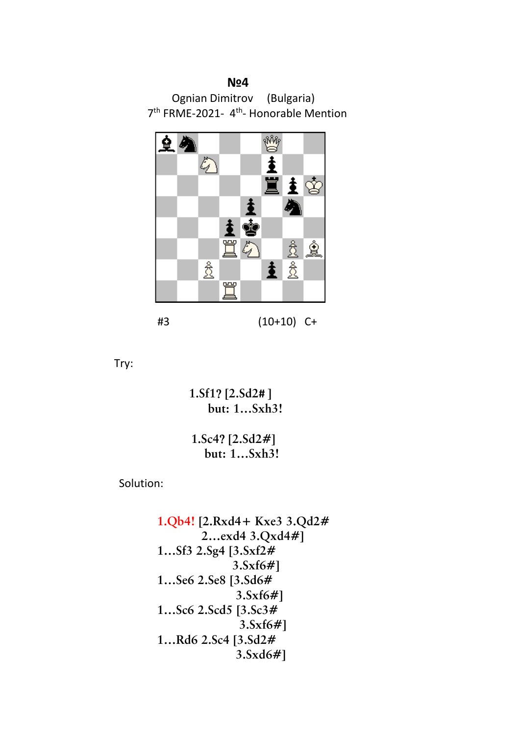## **№4**

Ognian Dimitrov (Bulgaria) 7<sup>th</sup> FRME-2021- 4<sup>th</sup>- Honorable Mention



#3 (10+10) C+

Try:

 **1.Sf1**? **[2.Sd2# ] but: 1…Sxh3!**

 **1.Sc4**? **[2.Sd2#] but: 1…Sxh3!**

Solution:

 **1.Qb4! [2.Rxd4+ Kxe3 3.Qd2# 2…exd4 3.Qxd4#] 1…Sf3 2.Sg4 [3.Sxf2# 3.Sxf6#] 1…Se6 2.Se8 [3.Sd6# 3.Sxf6#] 1…Sc6 2.Scd5 [3.Sc3# 3.Sxf6#] 1…Rd6 2.Sc4 [3.Sd2# 3.Sxd6#]**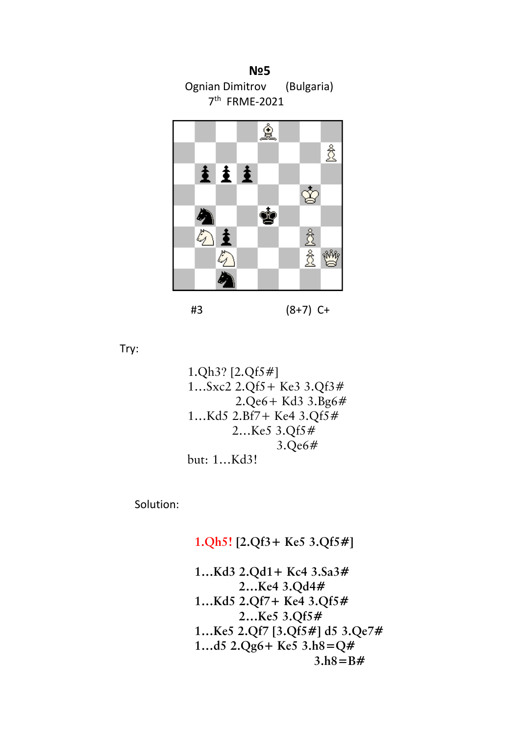



#3 (8+7) C+

Try:

$$
1.Qh3? [2.Qf5#]
$$
  
\n
$$
1...Sxc2 2.Qf5 + Ke3 3.Qf3#
$$
  
\n
$$
2.Qe6 + Kd3 3.Bg6#
$$
  
\n
$$
1...Kd5 2.Bf7 + Ke4 3.Qf5#
$$
  
\n
$$
2...Ke5 3.Qf5#
$$
  
\n
$$
3.Qe6#
$$
  
\nbut: 1...Kd3!

Solution:

## **1.Qh5! [2.Qf3+ Ke5 3.Qf5#]**

 **1…Kd3 2.Qd1+ Kc4 3.Sa3# 2…Ke4 3.Qd4# 1…Kd5 2.Qf7+ Ke4 3.Qf5# 2…Ke5 3.Qf5# 1…Ke5 2.Qf7 [3.Qf5#] d5 3.Qe7# 1…d5 2.Qg6+ Ke5 3.h8=Q# 3.h8=B#**